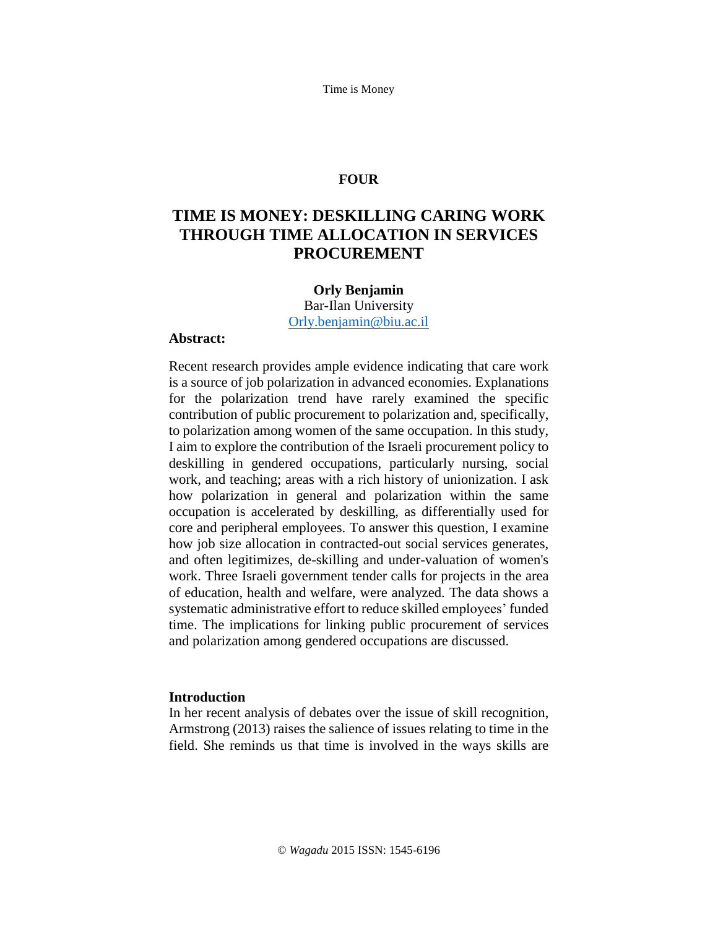Time is Money

### **FOUR**

# **TIME IS MONEY: DESKILLING CARING WORK THROUGH TIME ALLOCATION IN SERVICES PROCUREMENT**

#### **Orly Benjamin**

Bar-Ilan University [Orly.benjamin@biu.ac.il](file:///C:/Users/orlyb/Downloads/Orly.benjamin@biu.ac.il)

### **Abstract:**

Recent research provides ample evidence indicating that care work is a source of job polarization in advanced economies. Explanations for the polarization trend have rarely examined the specific contribution of public procurement to polarization and, specifically, to polarization among women of the same occupation. In this study, I aim to explore the contribution of the Israeli procurement policy to deskilling in gendered occupations, particularly nursing, social work, and teaching; areas with a rich history of unionization. I ask how polarization in general and polarization within the same occupation is accelerated by deskilling, as differentially used for core and peripheral employees. To answer this question, I examine how job size allocation in contracted-out social services generates, and often legitimizes, de-skilling and under-valuation of women's work. Three Israeli government tender calls for projects in the area of education, health and welfare, were analyzed. The data shows a systematic administrative effort to reduce skilled employees' funded time. The implications for linking public procurement of services and polarization among gendered occupations are discussed.

### **Introduction**

In her recent analysis of debates over the issue of skill recognition, Armstrong (2013) raises the salience of issues relating to time in the field. She reminds us that time is involved in the ways skills are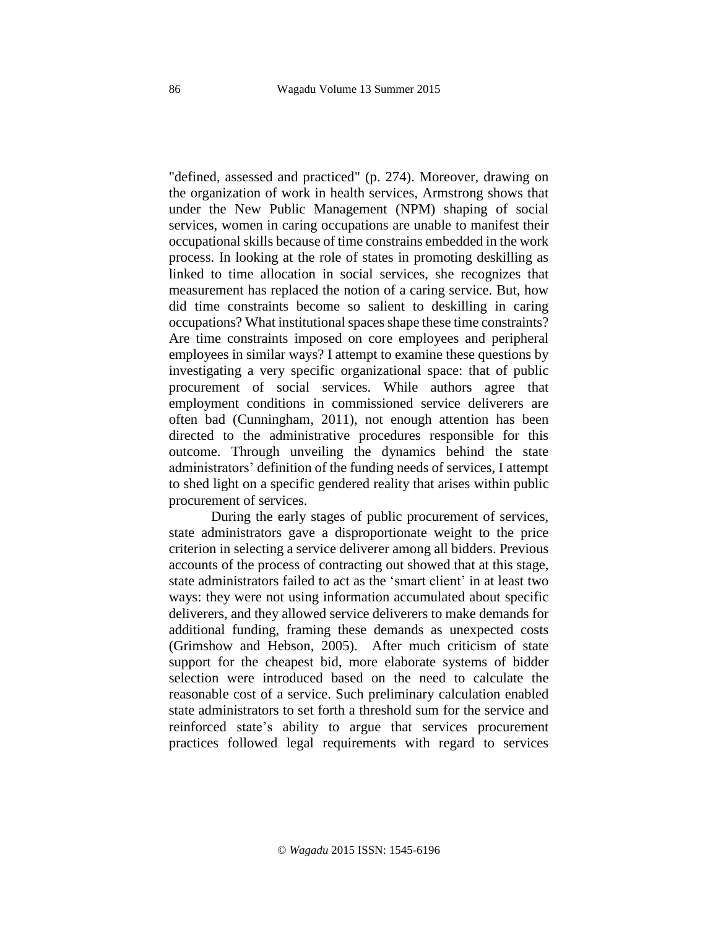"defined, assessed and practiced" (p. 274). Moreover, drawing on the organization of work in health services, Armstrong shows that under the New Public Management (NPM) shaping of social services, women in caring occupations are unable to manifest their occupational skills because of time constrains embedded in the work process. In looking at the role of states in promoting deskilling as linked to time allocation in social services, she recognizes that measurement has replaced the notion of a caring service. But, how did time constraints become so salient to deskilling in caring occupations? What institutional spaces shape these time constraints? Are time constraints imposed on core employees and peripheral employees in similar ways? I attempt to examine these questions by investigating a very specific organizational space: that of public procurement of social services. While authors agree that employment conditions in commissioned service deliverers are often bad (Cunningham, 2011), not enough attention has been directed to the administrative procedures responsible for this outcome. Through unveiling the dynamics behind the state administrators' definition of the funding needs of services, I attempt to shed light on a specific gendered reality that arises within public procurement of services.

During the early stages of public procurement of services, state administrators gave a disproportionate weight to the price criterion in selecting a service deliverer among all bidders. Previous accounts of the process of contracting out showed that at this stage, state administrators failed to act as the 'smart client' in at least two ways: they were not using information accumulated about specific deliverers, and they allowed service deliverers to make demands for additional funding, framing these demands as unexpected costs (Grimshow and Hebson, 2005). After much criticism of state support for the cheapest bid, more elaborate systems of bidder selection were introduced based on the need to calculate the reasonable cost of a service. Such preliminary calculation enabled state administrators to set forth a threshold sum for the service and reinforced state's ability to argue that services procurement practices followed legal requirements with regard to services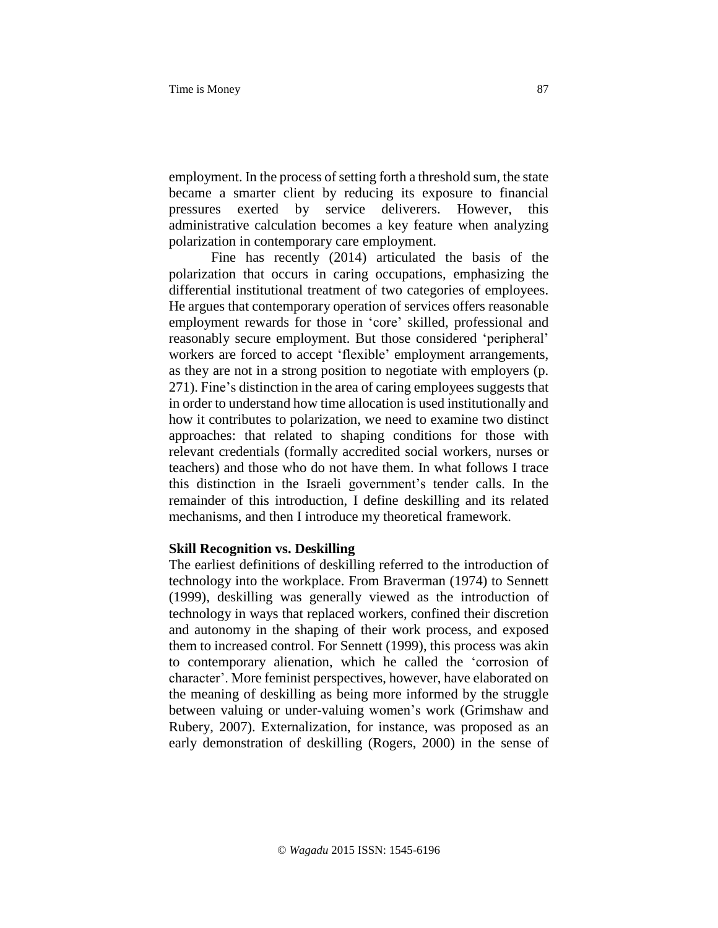employment. In the process of setting forth a threshold sum, the state became a smarter client by reducing its exposure to financial pressures exerted by service deliverers. However, this administrative calculation becomes a key feature when analyzing polarization in contemporary care employment.

Fine has recently (2014) articulated the basis of the polarization that occurs in caring occupations, emphasizing the differential institutional treatment of two categories of employees. He argues that contemporary operation of services offers reasonable employment rewards for those in 'core' skilled, professional and reasonably secure employment. But those considered 'peripheral' workers are forced to accept 'flexible' employment arrangements, as they are not in a strong position to negotiate with employers (p. 271). Fine's distinction in the area of caring employees suggests that in order to understand how time allocation is used institutionally and how it contributes to polarization, we need to examine two distinct approaches: that related to shaping conditions for those with relevant credentials (formally accredited social workers, nurses or teachers) and those who do not have them. In what follows I trace this distinction in the Israeli government's tender calls. In the remainder of this introduction, I define deskilling and its related mechanisms, and then I introduce my theoretical framework.

#### **Skill Recognition vs. Deskilling**

The earliest definitions of deskilling referred to the introduction of technology into the workplace. From Braverman (1974) to Sennett (1999), deskilling was generally viewed as the introduction of technology in ways that replaced workers, confined their discretion and autonomy in the shaping of their work process, and exposed them to increased control. For Sennett (1999), this process was akin to contemporary alienation, which he called the 'corrosion of character'. More feminist perspectives, however, have elaborated on the meaning of deskilling as being more informed by the struggle between valuing or under-valuing women's work (Grimshaw and Rubery, 2007). Externalization, for instance, was proposed as an early demonstration of deskilling (Rogers, 2000) in the sense of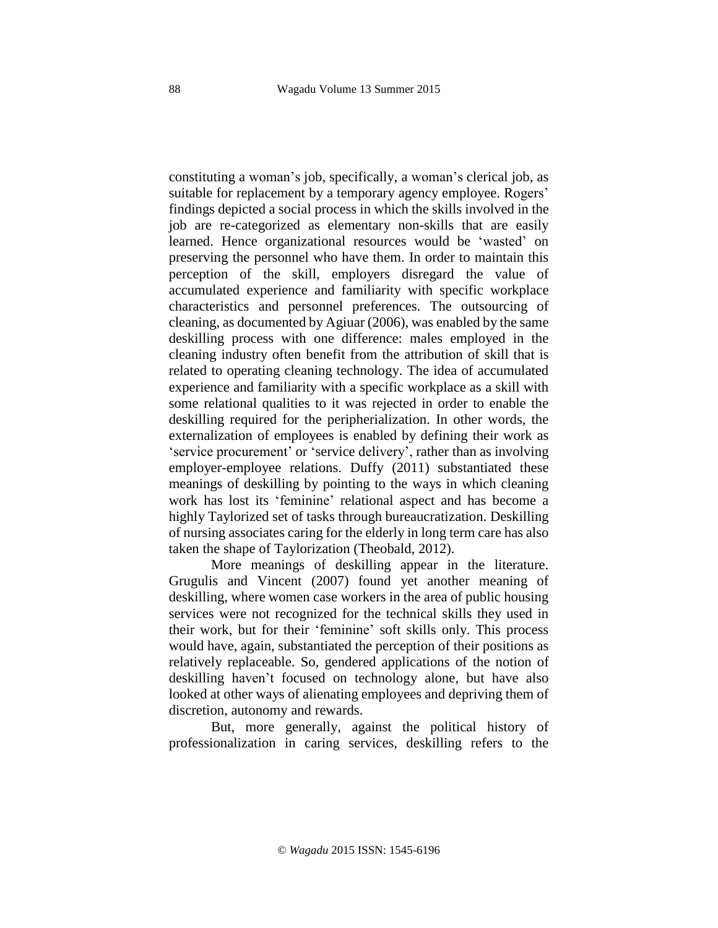constituting a woman's job, specifically, a woman's clerical job, as suitable for replacement by a temporary agency employee. Rogers' findings depicted a social process in which the skills involved in the job are re-categorized as elementary non-skills that are easily learned. Hence organizational resources would be 'wasted' on preserving the personnel who have them. In order to maintain this perception of the skill, employers disregard the value of accumulated experience and familiarity with specific workplace characteristics and personnel preferences. The outsourcing of cleaning, as documented by Agiuar (2006), was enabled by the same deskilling process with one difference: males employed in the cleaning industry often benefit from the attribution of skill that is related to operating cleaning technology. The idea of accumulated experience and familiarity with a specific workplace as a skill with some relational qualities to it was rejected in order to enable the deskilling required for the peripherialization. In other words, the externalization of employees is enabled by defining their work as 'service procurement' or 'service delivery', rather than as involving employer-employee relations. Duffy (2011) substantiated these meanings of deskilling by pointing to the ways in which cleaning work has lost its 'feminine' relational aspect and has become a highly Taylorized set of tasks through bureaucratization. Deskilling of nursing associates caring for the elderly in long term care has also taken the shape of Taylorization (Theobald, 2012).

More meanings of deskilling appear in the literature. Grugulis and Vincent (2007) found yet another meaning of deskilling, where women case workers in the area of public housing services were not recognized for the technical skills they used in their work, but for their 'feminine' soft skills only. This process would have, again, substantiated the perception of their positions as relatively replaceable. So, gendered applications of the notion of deskilling haven't focused on technology alone, but have also looked at other ways of alienating employees and depriving them of discretion, autonomy and rewards.

But, more generally, against the political history of professionalization in caring services, deskilling refers to the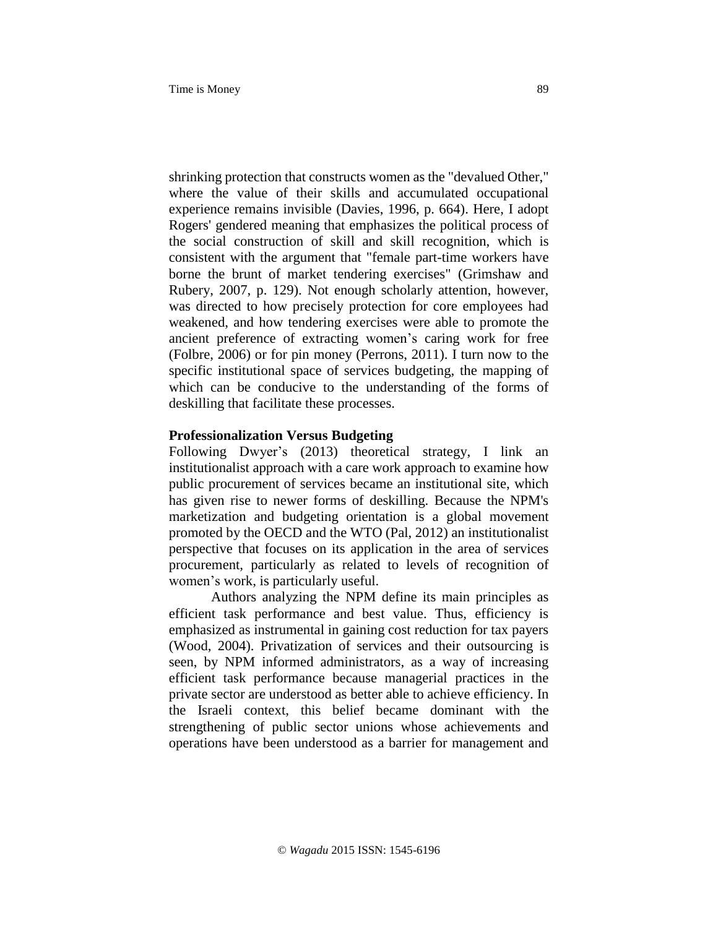shrinking protection that constructs women as the "devalued Other," where the value of their skills and accumulated occupational experience remains invisible (Davies, 1996, p. 664). Here, I adopt Rogers' gendered meaning that emphasizes the political process of the social construction of skill and skill recognition, which is consistent with the argument that "female part-time workers have borne the brunt of market tendering exercises" (Grimshaw and Rubery, 2007, p. 129). Not enough scholarly attention, however, was directed to how precisely protection for core employees had weakened, and how tendering exercises were able to promote the ancient preference of extracting women's caring work for free (Folbre, 2006) or for pin money (Perrons, 2011). I turn now to the specific institutional space of services budgeting, the mapping of which can be conducive to the understanding of the forms of deskilling that facilitate these processes.

#### **Professionalization Versus Budgeting**

Following Dwyer's (2013) theoretical strategy, I link an institutionalist approach with a care work approach to examine how public procurement of services became an institutional site, which has given rise to newer forms of deskilling. Because the NPM's marketization and budgeting orientation is a global movement promoted by the OECD and the WTO (Pal, 2012) an institutionalist perspective that focuses on its application in the area of services procurement, particularly as related to levels of recognition of women's work, is particularly useful.

Authors analyzing the NPM define its main principles as efficient task performance and best value. Thus, efficiency is emphasized as instrumental in gaining cost reduction for tax payers (Wood, 2004). Privatization of services and their outsourcing is seen, by NPM informed administrators, as a way of increasing efficient task performance because managerial practices in the private sector are understood as better able to achieve efficiency. In the Israeli context, this belief became dominant with the strengthening of public sector unions whose achievements and operations have been understood as a barrier for management and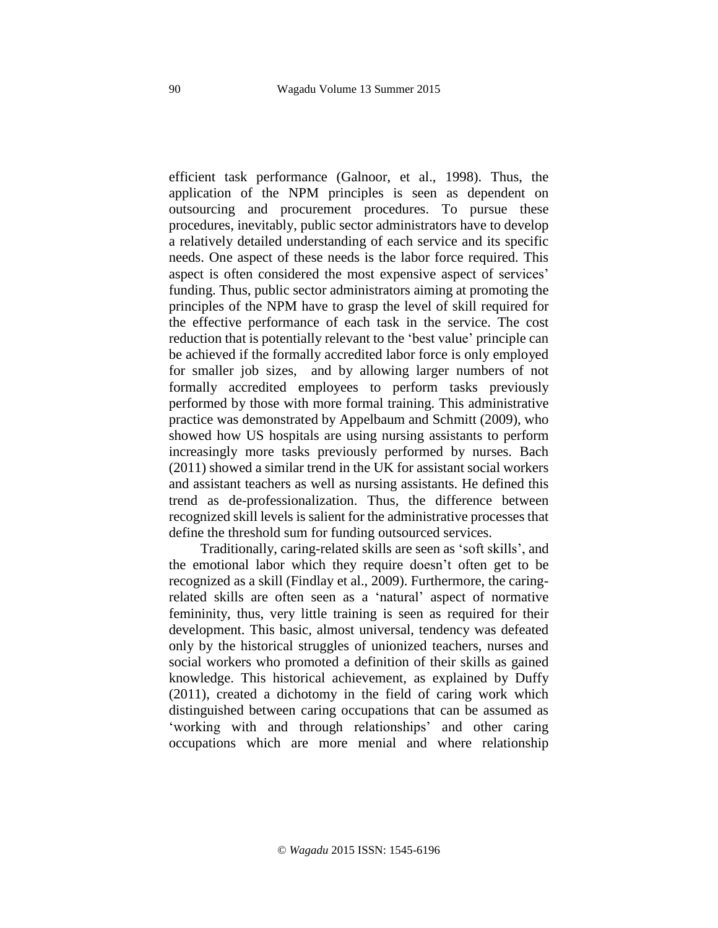efficient task performance (Galnoor, et al., 1998). Thus, the application of the NPM principles is seen as dependent on outsourcing and procurement procedures. To pursue these procedures, inevitably, public sector administrators have to develop a relatively detailed understanding of each service and its specific needs. One aspect of these needs is the labor force required. This aspect is often considered the most expensive aspect of services' funding. Thus, public sector administrators aiming at promoting the principles of the NPM have to grasp the level of skill required for the effective performance of each task in the service. The cost reduction that is potentially relevant to the 'best value' principle can be achieved if the formally accredited labor force is only employed for smaller job sizes, and by allowing larger numbers of not formally accredited employees to perform tasks previously performed by those with more formal training. This administrative practice was demonstrated by Appelbaum and Schmitt (2009), who showed how US hospitals are using nursing assistants to perform increasingly more tasks previously performed by nurses. Bach (2011) showed a similar trend in the UK for assistant social workers and assistant teachers as well as nursing assistants. He defined this trend as de-professionalization. Thus, the difference between recognized skill levels is salient for the administrative processes that define the threshold sum for funding outsourced services.

Traditionally, caring-related skills are seen as 'soft skills', and the emotional labor which they require doesn't often get to be recognized as a skill (Findlay et al., 2009). Furthermore, the caringrelated skills are often seen as a 'natural' aspect of normative femininity, thus, very little training is seen as required for their development. This basic, almost universal, tendency was defeated only by the historical struggles of unionized teachers, nurses and social workers who promoted a definition of their skills as gained knowledge. This historical achievement, as explained by Duffy (2011), created a dichotomy in the field of caring work which distinguished between caring occupations that can be assumed as 'working with and through relationships' and other caring occupations which are more menial and where relationship

© *Wagadu* 2015 ISSN: 1545-6196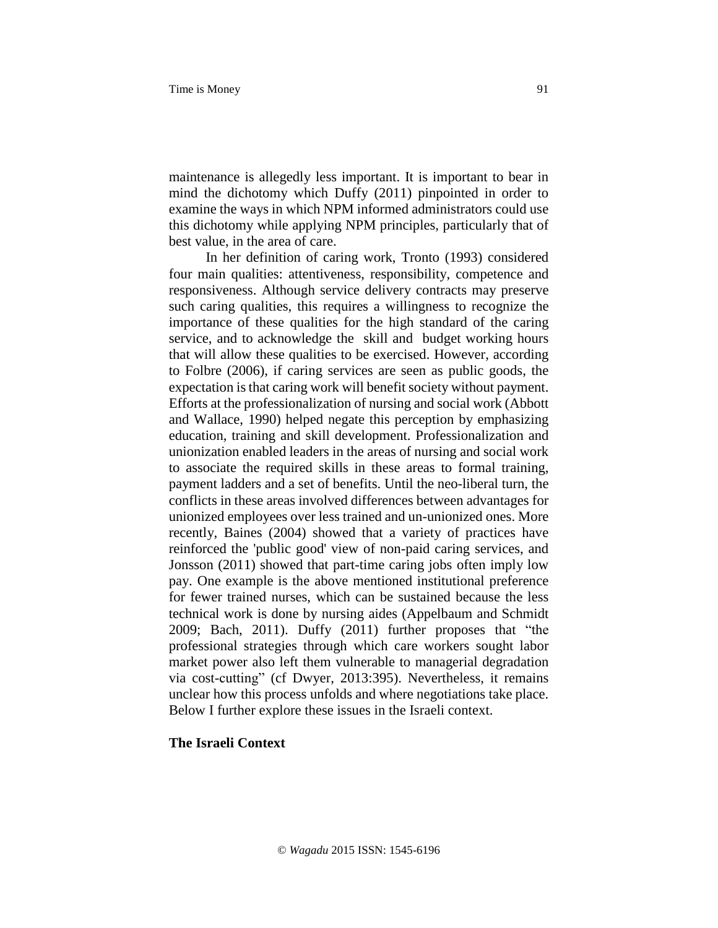maintenance is allegedly less important. It is important to bear in mind the dichotomy which Duffy (2011) pinpointed in order to examine the ways in which NPM informed administrators could use this dichotomy while applying NPM principles, particularly that of best value, in the area of care.

In her definition of caring work, Tronto (1993) considered four main qualities: attentiveness, responsibility, competence and responsiveness. Although service delivery contracts may preserve such caring qualities, this requires a willingness to recognize the importance of these qualities for the high standard of the caring service, and to acknowledge the skill and budget working hours that will allow these qualities to be exercised. However, according to Folbre (2006), if caring services are seen as public goods, the expectation is that caring work will benefit society without payment. Efforts at the professionalization of nursing and social work (Abbott and Wallace, 1990) helped negate this perception by emphasizing education, training and skill development. Professionalization and unionization enabled leaders in the areas of nursing and social work to associate the required skills in these areas to formal training, payment ladders and a set of benefits. Until the neo-liberal turn, the conflicts in these areas involved differences between advantages for unionized employees over less trained and un-unionized ones. More recently, Baines (2004) showed that a variety of practices have reinforced the 'public good' view of non-paid caring services, and Jonsson (2011) showed that part-time caring jobs often imply low pay. One example is the above mentioned institutional preference for fewer trained nurses, which can be sustained because the less technical work is done by nursing aides (Appelbaum and Schmidt 2009; Bach, 2011). Duffy (2011) further proposes that "the professional strategies through which care workers sought labor market power also left them vulnerable to managerial degradation via cost-cutting" (cf Dwyer, 2013:395). Nevertheless, it remains unclear how this process unfolds and where negotiations take place. Below I further explore these issues in the Israeli context.

# **The Israeli Context**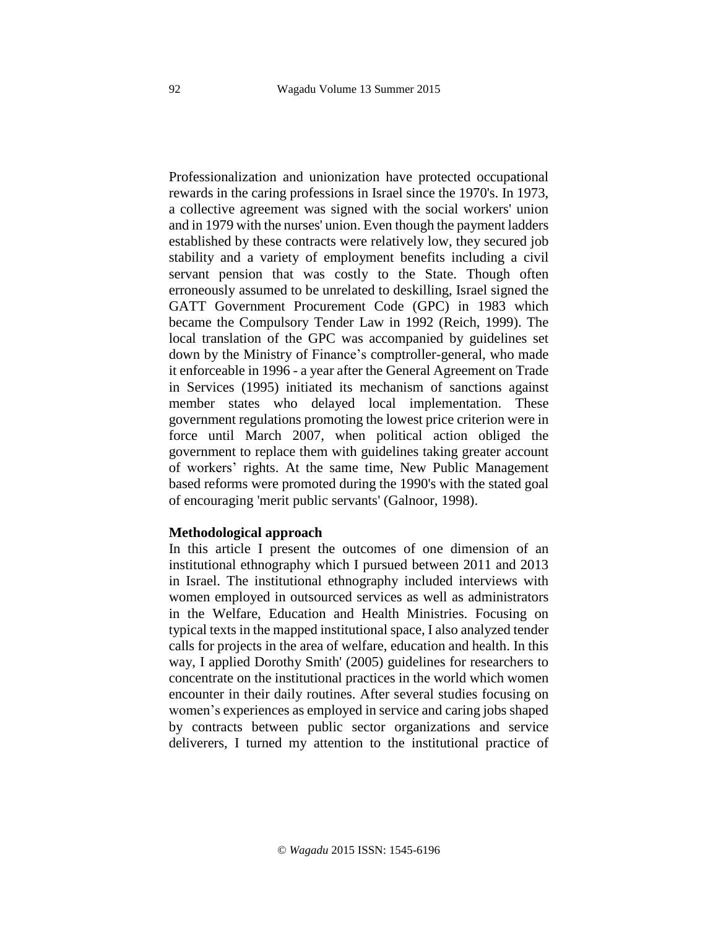Professionalization and unionization have protected occupational rewards in the caring professions in Israel since the 1970's. In 1973, a collective agreement was signed with the social workers' union and in 1979 with the nurses' union. Even though the payment ladders established by these contracts were relatively low, they secured job stability and a variety of employment benefits including a civil servant pension that was costly to the State. Though often erroneously assumed to be unrelated to deskilling, Israel signed the GATT Government Procurement Code (GPC) in 1983 which became the Compulsory Tender Law in 1992 (Reich, 1999). The local translation of the GPC was accompanied by guidelines set down by the Ministry of Finance's comptroller-general, who made it enforceable in 1996 - a year after the General Agreement on Trade in Services (1995) initiated its mechanism of sanctions against member states who delayed local implementation. These government regulations promoting the lowest price criterion were in force until March 2007, when political action obliged the government to replace them with guidelines taking greater account of workers' rights. At the same time, New Public Management based reforms were promoted during the 1990's with the stated goal of encouraging 'merit public servants' (Galnoor, 1998).

#### **Methodological approach**

In this article I present the outcomes of one dimension of an institutional ethnography which I pursued between 2011 and 2013 in Israel. The institutional ethnography included interviews with women employed in outsourced services as well as administrators in the Welfare, Education and Health Ministries. Focusing on typical texts in the mapped institutional space, I also analyzed tender calls for projects in the area of welfare, education and health. In this way, I applied Dorothy Smith' (2005) guidelines for researchers to concentrate on the institutional practices in the world which women encounter in their daily routines. After several studies focusing on women's experiences as employed in service and caring jobs shaped by contracts between public sector organizations and service deliverers, I turned my attention to the institutional practice of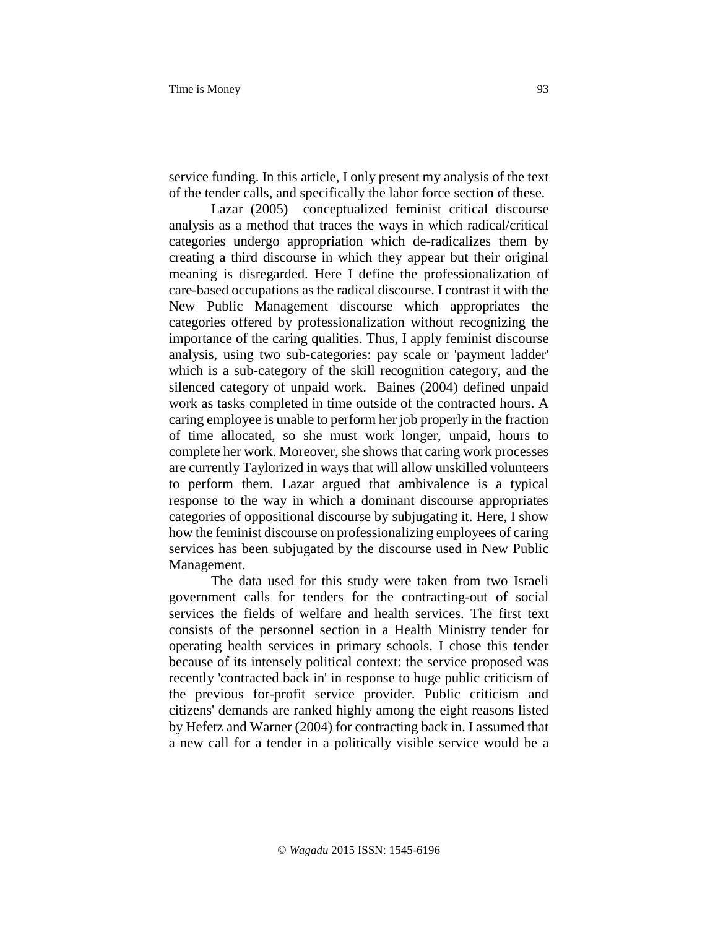service funding. In this article, I only present my analysis of the text of the tender calls, and specifically the labor force section of these.

Lazar (2005) conceptualized feminist critical discourse analysis as a method that traces the ways in which radical/critical categories undergo appropriation which de-radicalizes them by creating a third discourse in which they appear but their original meaning is disregarded. Here I define the professionalization of care-based occupations as the radical discourse. I contrast it with the New Public Management discourse which appropriates the categories offered by professionalization without recognizing the importance of the caring qualities. Thus, I apply feminist discourse analysis, using two sub-categories: pay scale or 'payment ladder' which is a sub-category of the skill recognition category, and the silenced category of unpaid work. Baines (2004) defined unpaid work as tasks completed in time outside of the contracted hours. A caring employee is unable to perform her job properly in the fraction of time allocated, so she must work longer, unpaid, hours to complete her work. Moreover, she shows that caring work processes are currently Taylorized in ways that will allow unskilled volunteers to perform them. Lazar argued that ambivalence is a typical response to the way in which a dominant discourse appropriates categories of oppositional discourse by subjugating it. Here, I show how the feminist discourse on professionalizing employees of caring services has been subjugated by the discourse used in New Public Management.

The data used for this study were taken from two Israeli government calls for tenders for the contracting-out of social services the fields of welfare and health services. The first text consists of the personnel section in a Health Ministry tender for operating health services in primary schools. I chose this tender because of its intensely political context: the service proposed was recently 'contracted back in' in response to huge public criticism of the previous for-profit service provider. Public criticism and citizens' demands are ranked highly among the eight reasons listed by Hefetz and Warner (2004) for contracting back in. I assumed that a new call for a tender in a politically visible service would be a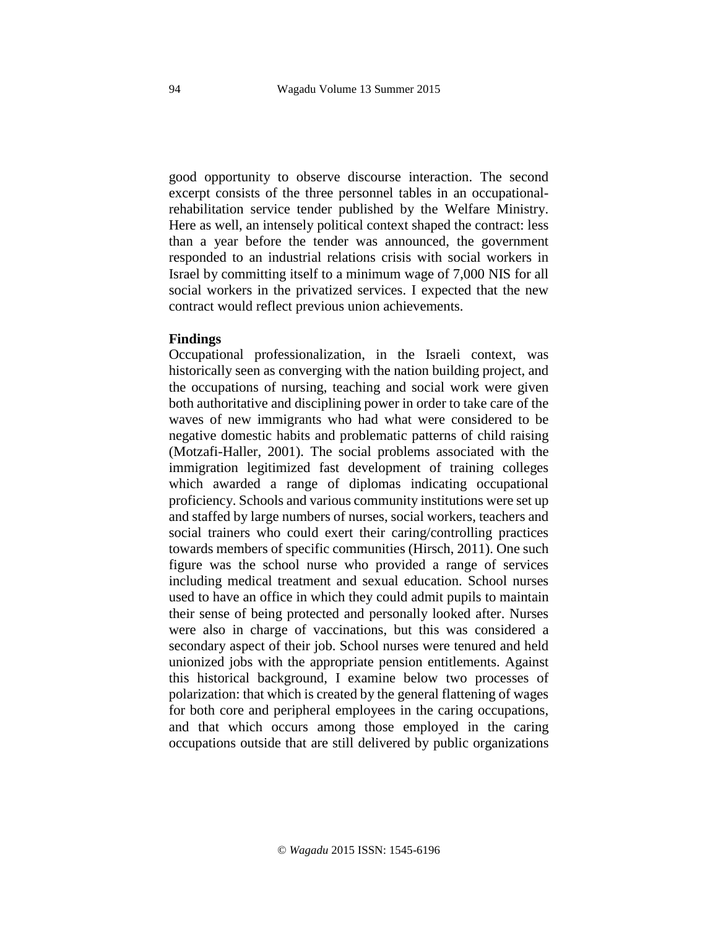good opportunity to observe discourse interaction. The second excerpt consists of the three personnel tables in an occupationalrehabilitation service tender published by the Welfare Ministry. Here as well, an intensely political context shaped the contract: less than a year before the tender was announced, the government responded to an industrial relations crisis with social workers in Israel by committing itself to a minimum wage of 7,000 NIS for all social workers in the privatized services. I expected that the new contract would reflect previous union achievements.

#### **Findings**

Occupational professionalization, in the Israeli context, was historically seen as converging with the nation building project, and the occupations of nursing, teaching and social work were given both authoritative and disciplining power in order to take care of the waves of new immigrants who had what were considered to be negative domestic habits and problematic patterns of child raising (Motzafi-Haller, 2001). The social problems associated with the immigration legitimized fast development of training colleges which awarded a range of diplomas indicating occupational proficiency. Schools and various community institutions were set up and staffed by large numbers of nurses, social workers, teachers and social trainers who could exert their caring/controlling practices towards members of specific communities (Hirsch, 2011). One such figure was the school nurse who provided a range of services including medical treatment and sexual education. School nurses used to have an office in which they could admit pupils to maintain their sense of being protected and personally looked after. Nurses were also in charge of vaccinations, but this was considered a secondary aspect of their job. School nurses were tenured and held unionized jobs with the appropriate pension entitlements. Against this historical background, I examine below two processes of polarization: that which is created by the general flattening of wages for both core and peripheral employees in the caring occupations, and that which occurs among those employed in the caring occupations outside that are still delivered by public organizations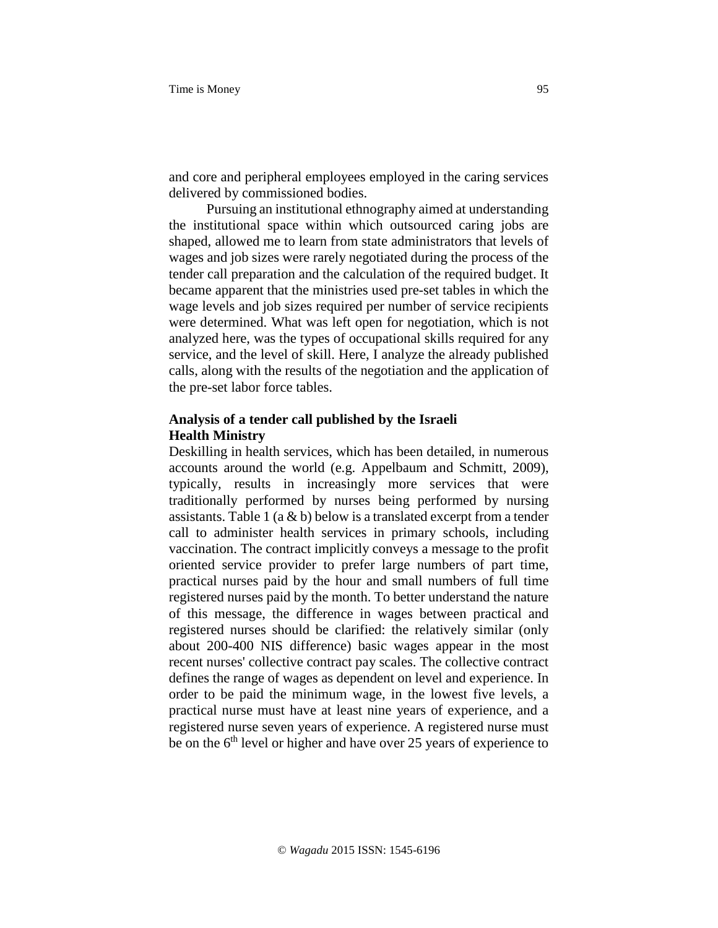and core and peripheral employees employed in the caring services delivered by commissioned bodies.

 Pursuing an institutional ethnography aimed at understanding the institutional space within which outsourced caring jobs are shaped, allowed me to learn from state administrators that levels of wages and job sizes were rarely negotiated during the process of the tender call preparation and the calculation of the required budget. It became apparent that the ministries used pre-set tables in which the wage levels and job sizes required per number of service recipients were determined. What was left open for negotiation, which is not analyzed here, was the types of occupational skills required for any service, and the level of skill. Here, I analyze the already published calls, along with the results of the negotiation and the application of the pre-set labor force tables.

# **Analysis of a tender call published by the Israeli Health Ministry**

Deskilling in health services, which has been detailed, in numerous accounts around the world (e.g. Appelbaum and Schmitt, 2009), typically, results in increasingly more services that were traditionally performed by nurses being performed by nursing assistants. Table 1 ( $a \& b$ ) below is a translated excerpt from a tender call to administer health services in primary schools, including vaccination. The contract implicitly conveys a message to the profit oriented service provider to prefer large numbers of part time, practical nurses paid by the hour and small numbers of full time registered nurses paid by the month. To better understand the nature of this message, the difference in wages between practical and registered nurses should be clarified: the relatively similar (only about 200-400 NIS difference) basic wages appear in the most recent nurses' collective contract pay scales. The collective contract defines the range of wages as dependent on level and experience. In order to be paid the minimum wage, in the lowest five levels, a practical nurse must have at least nine years of experience, and a registered nurse seven years of experience. A registered nurse must be on the 6<sup>th</sup> level or higher and have over 25 years of experience to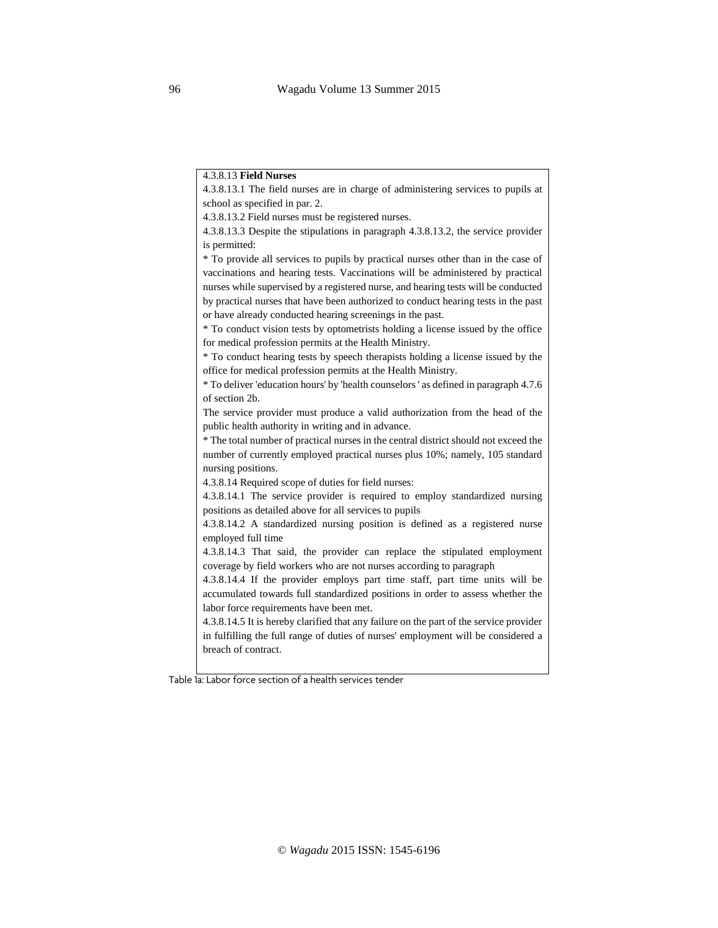#### 4.3.8.13 **Field Nurses**

4.3.8.13.1 The field nurses are in charge of administering services to pupils at school as specified in par. 2. 4.3.8.13.2 Field nurses must be registered nurses. 4.3.8.13.3 Despite the stipulations in paragraph 4.3.8.13.2, the service provider is permitted: \* To provide all services to pupils by practical nurses other than in the case of vaccinations and hearing tests. Vaccinations will be administered by practical nurses while supervised by a registered nurse, and hearing tests will be conducted by practical nurses that have been authorized to conduct hearing tests in the past or have already conducted hearing screenings in the past. \* To conduct vision tests by optometrists holding a license issued by the office

for medical profession permits at the Health Ministry.

\* To conduct hearing tests by speech therapists holding a license issued by the office for medical profession permits at the Health Ministry.

\* To deliver 'education hours' by 'health counselors ' as defined in paragraph 4.7.6 of section 2b.

The service provider must produce a valid authorization from the head of the public health authority in writing and in advance.

\* The total number of practical nurses in the central district should not exceed the number of currently employed practical nurses plus 10%; namely, 105 standard nursing positions.

4.3.8.14 Required scope of duties for field nurses:

4.3.8.14.1 The service provider is required to employ standardized nursing positions as detailed above for all services to pupils

4.3.8.14.2 A standardized nursing position is defined as a registered nurse employed full time

4.3.8.14.3 That said, the provider can replace the stipulated employment coverage by field workers who are not nurses according to paragraph

4.3.8.14.4 If the provider employs part time staff, part time units will be accumulated towards full standardized positions in order to assess whether the labor force requirements have been met.

4.3.8.14.5 It is hereby clarified that any failure on the part of the service provider in fulfilling the full range of duties of nurses' employment will be considered a breach of contract.

Table 1a: Labor force section of a health services tender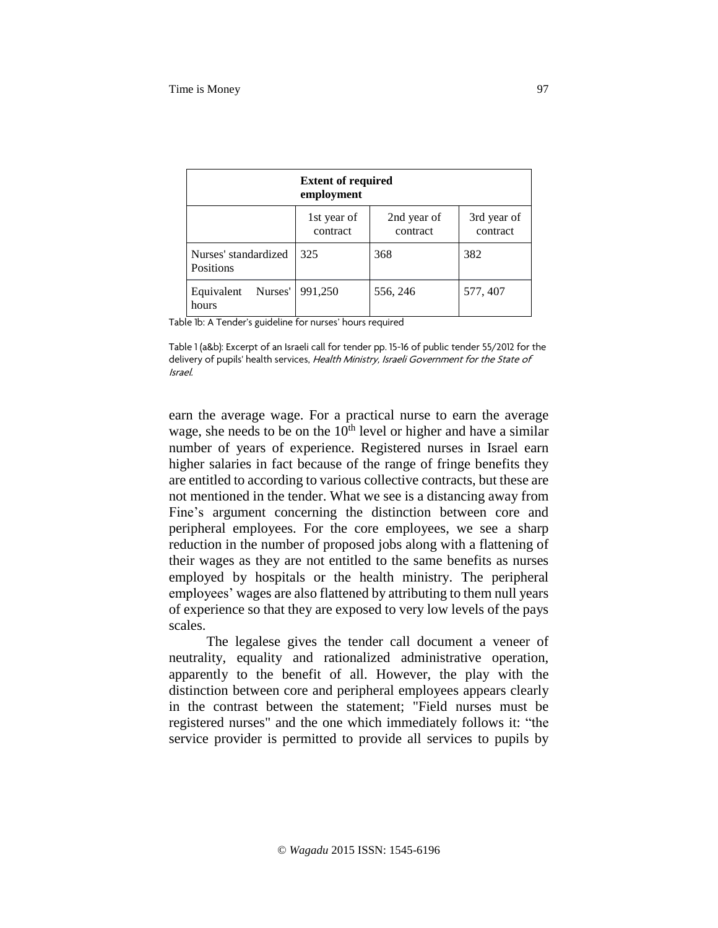|                                          | <b>Extent of required</b><br>employment |                         |                         |  |
|------------------------------------------|-----------------------------------------|-------------------------|-------------------------|--|
|                                          | 1st year of<br>contract                 | 2nd year of<br>contract | 3rd year of<br>contract |  |
| Nurses' standardized<br><b>Positions</b> | 325                                     | 368                     | 382                     |  |
| Nurses'<br>Equivalent<br>hours           | 991,250                                 | 556, 246                | 577, 407                |  |

Table 1b: A Tender's guideline for nurses' hours required

Table 1 (a&b): Excerpt of an Israeli call for tender pp. 15-16 of public tender 55/2012 for the delivery of pupils' health services, Health Ministry, Israeli Government for the State of Israel.

earn the average wage. For a practical nurse to earn the average wage, she needs to be on the  $10<sup>th</sup>$  level or higher and have a similar number of years of experience. Registered nurses in Israel earn higher salaries in fact because of the range of fringe benefits they are entitled to according to various collective contracts, but these are not mentioned in the tender. What we see is a distancing away from Fine's argument concerning the distinction between core and peripheral employees. For the core employees, we see a sharp reduction in the number of proposed jobs along with a flattening of their wages as they are not entitled to the same benefits as nurses employed by hospitals or the health ministry. The peripheral employees' wages are also flattened by attributing to them null years of experience so that they are exposed to very low levels of the pays scales.

 The legalese gives the tender call document a veneer of neutrality, equality and rationalized administrative operation, apparently to the benefit of all. However, the play with the distinction between core and peripheral employees appears clearly in the contrast between the statement; "Field nurses must be registered nurses" and the one which immediately follows it: "the service provider is permitted to provide all services to pupils by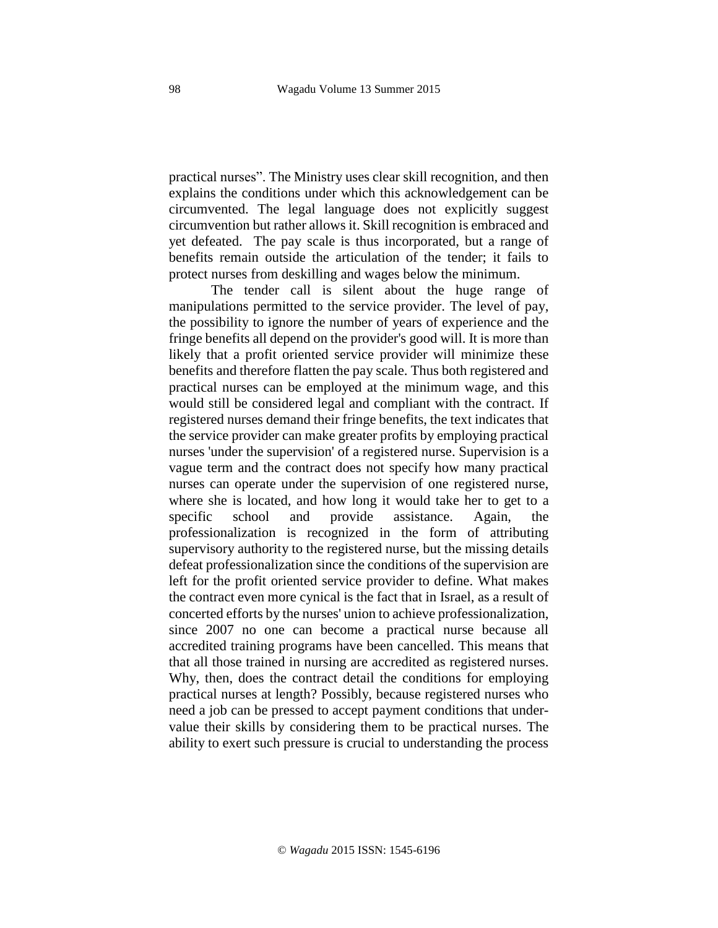practical nurses". The Ministry uses clear skill recognition, and then explains the conditions under which this acknowledgement can be circumvented. The legal language does not explicitly suggest circumvention but rather allows it. Skill recognition is embraced and yet defeated. The pay scale is thus incorporated, but a range of benefits remain outside the articulation of the tender; it fails to protect nurses from deskilling and wages below the minimum.

The tender call is silent about the huge range of manipulations permitted to the service provider. The level of pay, the possibility to ignore the number of years of experience and the fringe benefits all depend on the provider's good will. It is more than likely that a profit oriented service provider will minimize these benefits and therefore flatten the pay scale. Thus both registered and practical nurses can be employed at the minimum wage, and this would still be considered legal and compliant with the contract. If registered nurses demand their fringe benefits, the text indicates that the service provider can make greater profits by employing practical nurses 'under the supervision' of a registered nurse. Supervision is a vague term and the contract does not specify how many practical nurses can operate under the supervision of one registered nurse, where she is located, and how long it would take her to get to a specific school and provide assistance. Again, the professionalization is recognized in the form of attributing supervisory authority to the registered nurse, but the missing details defeat professionalization since the conditions of the supervision are left for the profit oriented service provider to define. What makes the contract even more cynical is the fact that in Israel, as a result of concerted efforts by the nurses' union to achieve professionalization, since 2007 no one can become a practical nurse because all accredited training programs have been cancelled. This means that that all those trained in nursing are accredited as registered nurses. Why, then, does the contract detail the conditions for employing practical nurses at length? Possibly, because registered nurses who need a job can be pressed to accept payment conditions that undervalue their skills by considering them to be practical nurses. The ability to exert such pressure is crucial to understanding the process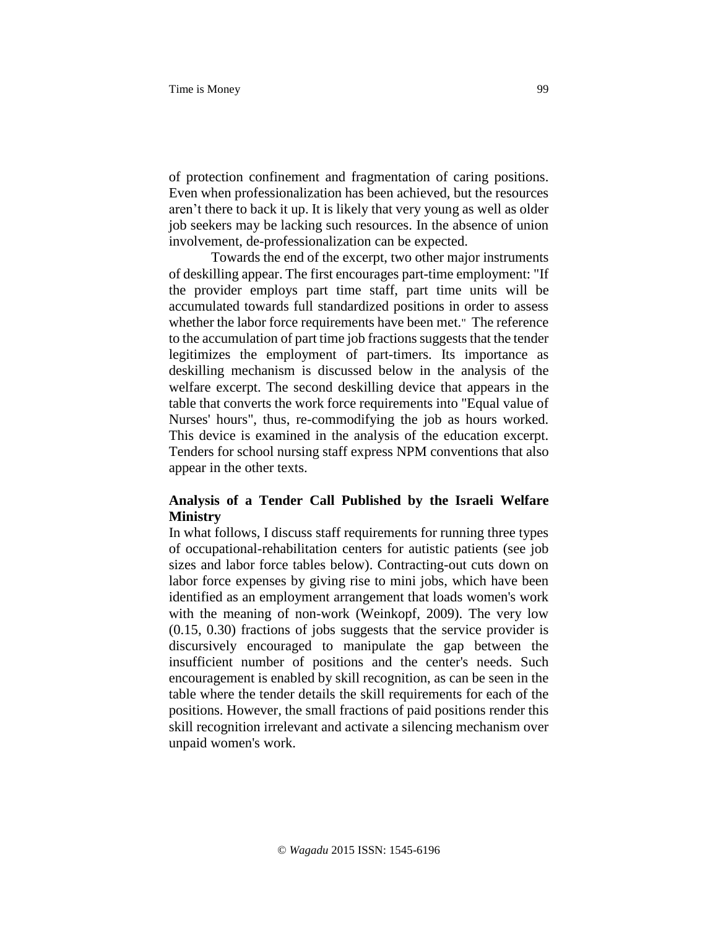of protection confinement and fragmentation of caring positions. Even when professionalization has been achieved, but the resources aren't there to back it up. It is likely that very young as well as older job seekers may be lacking such resources. In the absence of union involvement, de-professionalization can be expected.

Towards the end of the excerpt, two other major instruments of deskilling appear. The first encourages part-time employment: "If the provider employs part time staff, part time units will be accumulated towards full standardized positions in order to assess whether the labor force requirements have been met." The reference to the accumulation of part time job fractions suggests that the tender legitimizes the employment of part-timers. Its importance as deskilling mechanism is discussed below in the analysis of the welfare excerpt. The second deskilling device that appears in the table that converts the work force requirements into "Equal value of Nurses' hours", thus, re-commodifying the job as hours worked. This device is examined in the analysis of the education excerpt. Tenders for school nursing staff express NPM conventions that also appear in the other texts.

# **Analysis of a Tender Call Published by the Israeli Welfare Ministry**

In what follows, I discuss staff requirements for running three types of occupational-rehabilitation centers for autistic patients (see job sizes and labor force tables below). Contracting-out cuts down on labor force expenses by giving rise to mini jobs, which have been identified as an employment arrangement that loads women's work with the meaning of non-work (Weinkopf, 2009). The very low (0.15, 0.30) fractions of jobs suggests that the service provider is discursively encouraged to manipulate the gap between the insufficient number of positions and the center's needs. Such encouragement is enabled by skill recognition, as can be seen in the table where the tender details the skill requirements for each of the positions. However, the small fractions of paid positions render this skill recognition irrelevant and activate a silencing mechanism over unpaid women's work.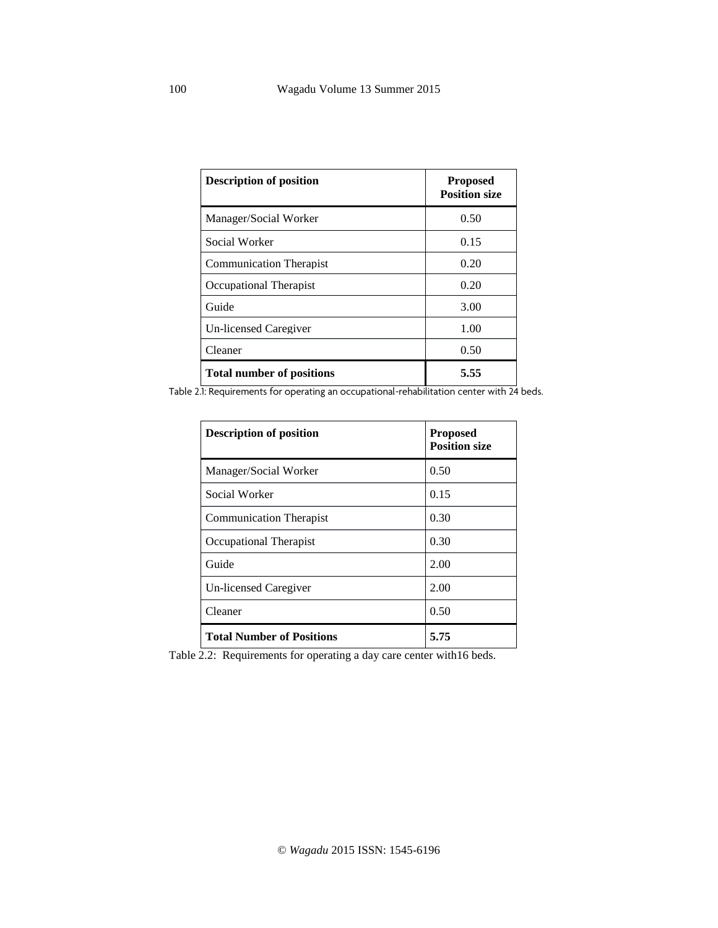| <b>Description of position</b>   | <b>Proposed</b><br><b>Position size</b> |
|----------------------------------|-----------------------------------------|
| Manager/Social Worker            | 0.50                                    |
| Social Worker                    | 0.15                                    |
| <b>Communication Therapist</b>   | 0.20                                    |
| Occupational Therapist           | 0.20                                    |
| Guide                            | 3.00                                    |
| Un-licensed Caregiver            | 1.00                                    |
| Cleaner                          | 0.50                                    |
| <b>Total number of positions</b> | 5.55                                    |

Table 2.1: Requirements for operating an occupational-rehabilitation center with 24 beds.

| <b>Description of position</b>   | <b>Proposed</b><br><b>Position size</b> |
|----------------------------------|-----------------------------------------|
| Manager/Social Worker            | 0.50                                    |
| Social Worker                    | 0.15                                    |
| <b>Communication Therapist</b>   | 0.30                                    |
| Occupational Therapist           | 0.30                                    |
| Guide                            | 2.00                                    |
| <b>Un-licensed Caregiver</b>     | 2.00                                    |
| Cleaner                          | 0.50                                    |
| <b>Total Number of Positions</b> | 5.75                                    |

Table 2.2: Requirements for operating a day care center with16 beds.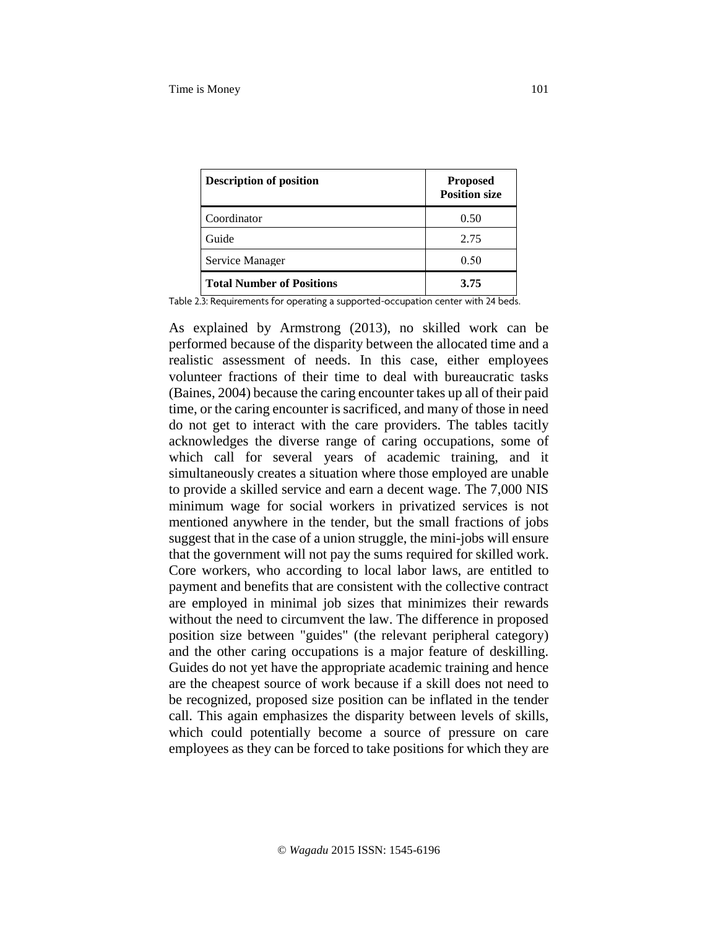| <b>Description of position</b>   | <b>Proposed</b><br><b>Position size</b> |
|----------------------------------|-----------------------------------------|
| Coordinator                      | 0.50                                    |
| Guide                            | 2.75                                    |
| Service Manager                  | 0.50                                    |
| <b>Total Number of Positions</b> | 3.75                                    |

Table 2.3: Requirements for operating a supported-occupation center with 24 beds.

As explained by Armstrong (2013), no skilled work can be performed because of the disparity between the allocated time and a realistic assessment of needs. In this case, either employees volunteer fractions of their time to deal with bureaucratic tasks (Baines, 2004) because the caring encounter takes up all of their paid time, or the caring encounter is sacrificed, and many of those in need do not get to interact with the care providers. The tables tacitly acknowledges the diverse range of caring occupations, some of which call for several years of academic training, and it simultaneously creates a situation where those employed are unable to provide a skilled service and earn a decent wage. The 7,000 NIS minimum wage for social workers in privatized services is not mentioned anywhere in the tender, but the small fractions of jobs suggest that in the case of a union struggle, the mini-jobs will ensure that the government will not pay the sums required for skilled work. Core workers, who according to local labor laws, are entitled to payment and benefits that are consistent with the collective contract are employed in minimal job sizes that minimizes their rewards without the need to circumvent the law. The difference in proposed position size between "guides" (the relevant peripheral category) and the other caring occupations is a major feature of deskilling. Guides do not yet have the appropriate academic training and hence are the cheapest source of work because if a skill does not need to be recognized, proposed size position can be inflated in the tender call. This again emphasizes the disparity between levels of skills, which could potentially become a source of pressure on care employees as they can be forced to take positions for which they are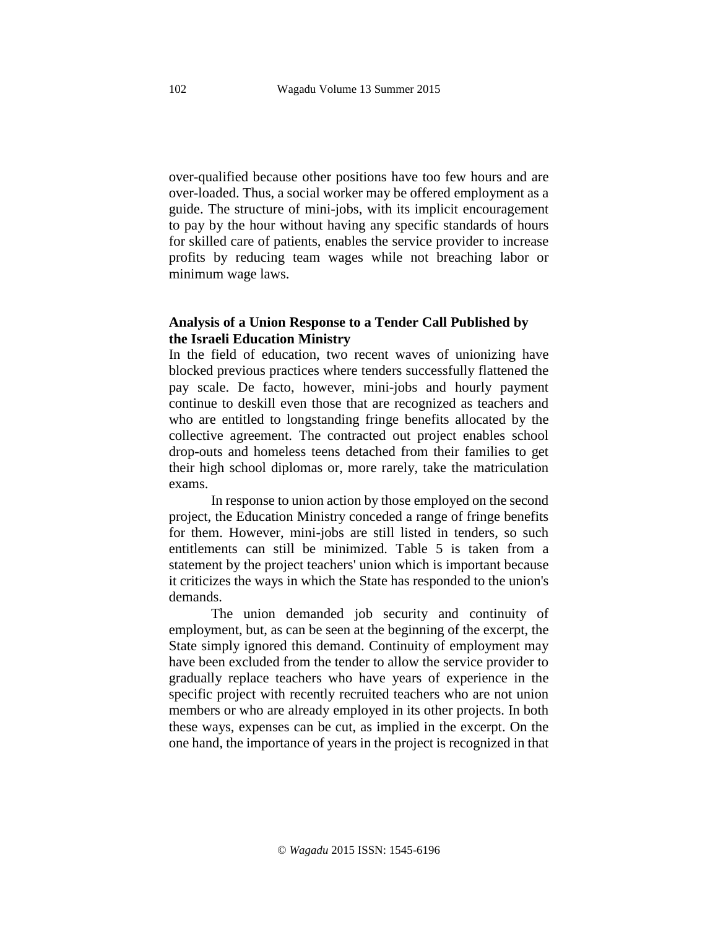over-qualified because other positions have too few hours and are over-loaded. Thus, a social worker may be offered employment as a guide. The structure of mini-jobs, with its implicit encouragement to pay by the hour without having any specific standards of hours for skilled care of patients, enables the service provider to increase profits by reducing team wages while not breaching labor or minimum wage laws.

# **Analysis of a Union Response to a Tender Call Published by the Israeli Education Ministry**

In the field of education, two recent waves of unionizing have blocked previous practices where tenders successfully flattened the pay scale. De facto, however, mini-jobs and hourly payment continue to deskill even those that are recognized as teachers and who are entitled to longstanding fringe benefits allocated by the collective agreement. The contracted out project enables school drop-outs and homeless teens detached from their families to get their high school diplomas or, more rarely, take the matriculation exams.

In response to union action by those employed on the second project, the Education Ministry conceded a range of fringe benefits for them. However, mini-jobs are still listed in tenders, so such entitlements can still be minimized. Table 5 is taken from a statement by the project teachers' union which is important because it criticizes the ways in which the State has responded to the union's demands.

The union demanded job security and continuity of employment, but, as can be seen at the beginning of the excerpt, the State simply ignored this demand. Continuity of employment may have been excluded from the tender to allow the service provider to gradually replace teachers who have years of experience in the specific project with recently recruited teachers who are not union members or who are already employed in its other projects. In both these ways, expenses can be cut, as implied in the excerpt. On the one hand, the importance of years in the project is recognized in that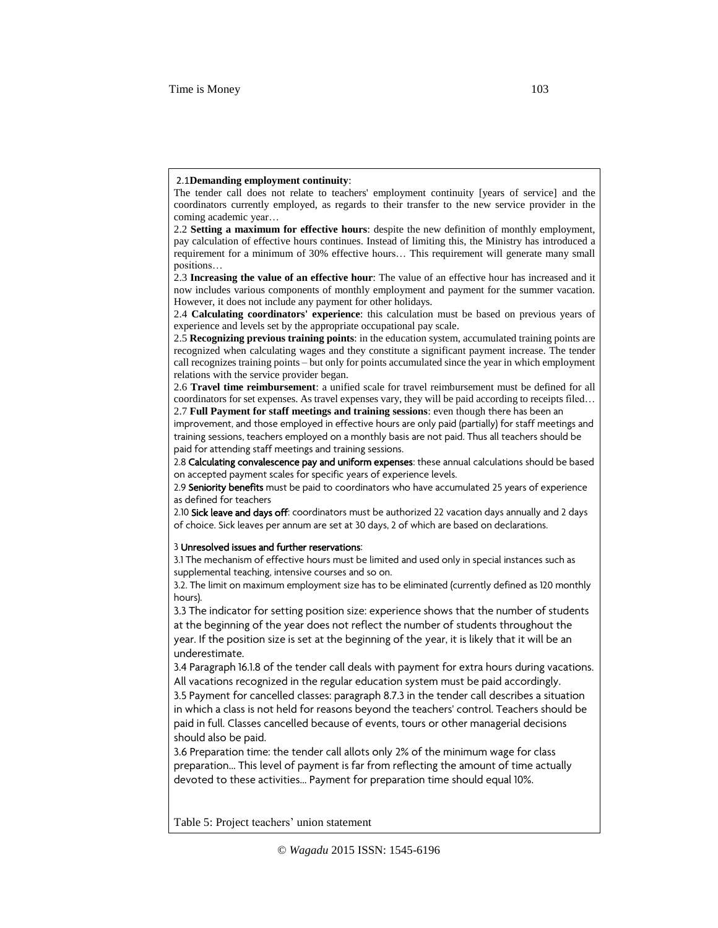#### 2.1**Demanding employment continuity**:

The tender call does not relate to teachers' employment continuity [years of service] and the coordinators currently employed, as regards to their transfer to the new service provider in the coming academic year…

2.2 **Setting a maximum for effective hours**: despite the new definition of monthly employment, pay calculation of effective hours continues. Instead of limiting this, the Ministry has introduced a requirement for a minimum of 30% effective hours… This requirement will generate many small positions…

2.3 **Increasing the value of an effective hour**: The value of an effective hour has increased and it now includes various components of monthly employment and payment for the summer vacation. However, it does not include any payment for other holidays.

2.5 **Recognizing previous training points**: in the education system, accumulated training points are recognized when calculating wages and they constitute a significant payment increase. The tender call recognizes training points – but only for points accumulated since the year in which employment relations with the service provider began.

2.6 **Travel time reimbursement**: a unified scale for travel reimbursement must be defined for all coordinators for set expenses. As travel expenses vary, they will be paid according to receipts filed… 2.7 **Full Payment for staff meetings and training sessions**: even though there has been an

improvement, and those employed in effective hours are only paid (partially) for staff meetings and training sessions, teachers employed on a monthly basis are not paid. Thus all teachers should be paid for attending staff meetings and training sessions.

2.8 Calculating convalescence pay and uniform expenses: these annual calculations should be based on accepted payment scales for specific years of experience levels.

2.9 Seniority benefits must be paid to coordinators who have accumulated 25 years of experience as defined for teachers

2.10 Sick leave and days off: coordinators must be authorized 22 vacation days annually and 2 days of choice. Sick leaves per annum are set at 30 days, 2 of which are based on declarations.

#### 3 Unresolved issues and further reservations:

3.1 The mechanism of effective hours must be limited and used only in special instances such as supplemental teaching, intensive courses and so on.

3.2. The limit on maximum employment size has to be eliminated (currently defined as 120 monthly hours).

3.3 The indicator for setting position size: experience shows that the number of students at the beginning of the year does not reflect the number of students throughout the year. If the position size is set at the beginning of the year, it is likely that it will be an underestimate.

3.4 Paragraph 16.1.8 of the tender call deals with payment for extra hours during vacations. All vacations recognized in the regular education system must be paid accordingly.

3.5 Payment for cancelled classes: paragraph 8.7.3 in the tender call describes a situation in which a class is not held for reasons beyond the teachers' control. Teachers should be paid in full. Classes cancelled because of events, tours or other managerial decisions should also be paid.

3.6 Preparation time: the tender call allots only 2% of the minimum wage for class preparation... This level of payment is far from reflecting the amount of time actually devoted to these activities… Payment for preparation time should equal 10%.

Table 5: Project teachers' union statement

<sup>2.4</sup> **Calculating coordinators' experience**: this calculation must be based on previous years of experience and levels set by the appropriate occupational pay scale.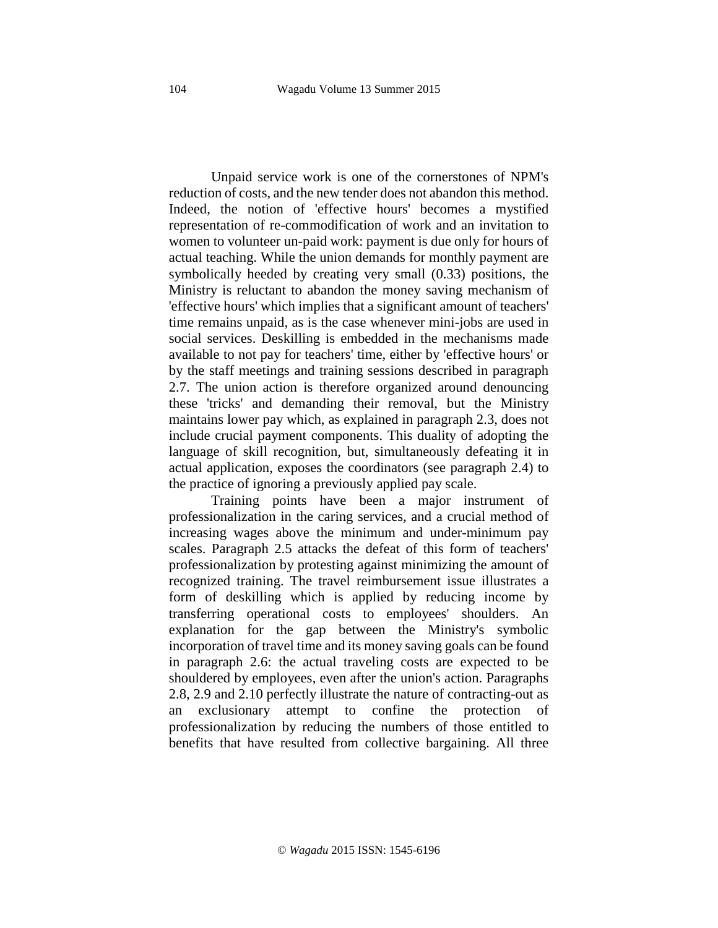Unpaid service work is one of the cornerstones of NPM's reduction of costs, and the new tender does not abandon this method. Indeed, the notion of 'effective hours' becomes a mystified representation of re-commodification of work and an invitation to women to volunteer un-paid work: payment is due only for hours of actual teaching. While the union demands for monthly payment are symbolically heeded by creating very small (0.33) positions, the Ministry is reluctant to abandon the money saving mechanism of 'effective hours' which implies that a significant amount of teachers' time remains unpaid, as is the case whenever mini-jobs are used in social services. Deskilling is embedded in the mechanisms made available to not pay for teachers' time, either by 'effective hours' or by the staff meetings and training sessions described in paragraph 2.7. The union action is therefore organized around denouncing these 'tricks' and demanding their removal, but the Ministry maintains lower pay which, as explained in paragraph 2.3, does not include crucial payment components. This duality of adopting the language of skill recognition, but, simultaneously defeating it in actual application, exposes the coordinators (see paragraph 2.4) to the practice of ignoring a previously applied pay scale.

Training points have been a major instrument of professionalization in the caring services, and a crucial method of increasing wages above the minimum and under-minimum pay scales. Paragraph 2.5 attacks the defeat of this form of teachers' professionalization by protesting against minimizing the amount of recognized training. The travel reimbursement issue illustrates a form of deskilling which is applied by reducing income by transferring operational costs to employees' shoulders. An explanation for the gap between the Ministry's symbolic incorporation of travel time and its money saving goals can be found in paragraph 2.6: the actual traveling costs are expected to be shouldered by employees, even after the union's action. Paragraphs 2.8, 2.9 and 2.10 perfectly illustrate the nature of contracting-out as an exclusionary attempt to confine the protection of professionalization by reducing the numbers of those entitled to benefits that have resulted from collective bargaining. All three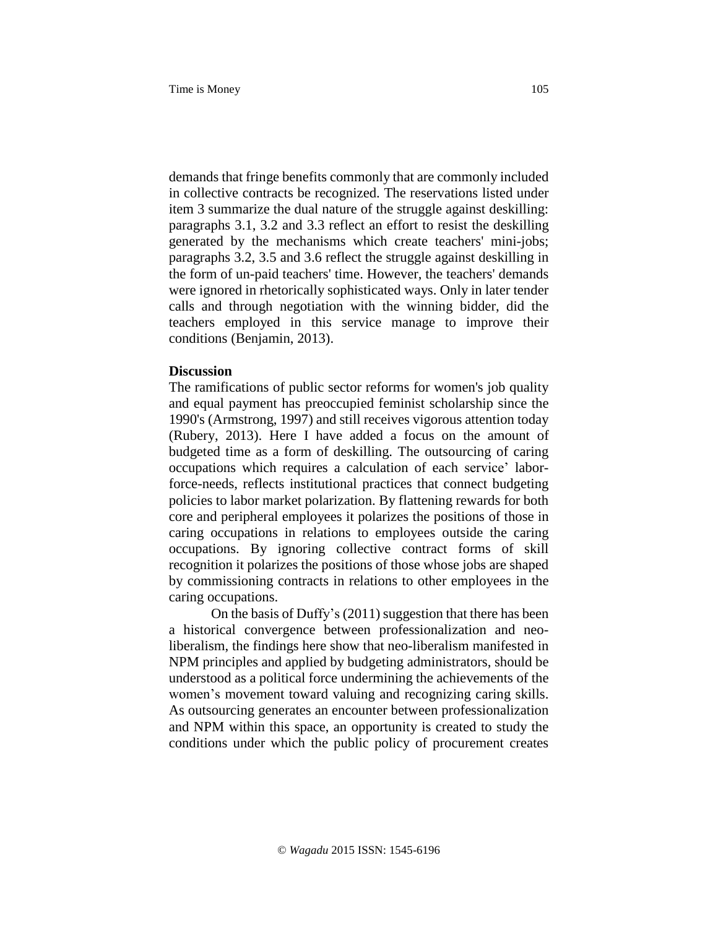demands that fringe benefits commonly that are commonly included in collective contracts be recognized. The reservations listed under item 3 summarize the dual nature of the struggle against deskilling: paragraphs 3.1, 3.2 and 3.3 reflect an effort to resist the deskilling generated by the mechanisms which create teachers' mini-jobs; paragraphs 3.2, 3.5 and 3.6 reflect the struggle against deskilling in the form of un-paid teachers' time. However, the teachers' demands were ignored in rhetorically sophisticated ways. Only in later tender calls and through negotiation with the winning bidder, did the teachers employed in this service manage to improve their conditions (Benjamin, 2013).

#### **Discussion**

The ramifications of public sector reforms for women's job quality and equal payment has preoccupied feminist scholarship since the 1990's (Armstrong, 1997) and still receives vigorous attention today (Rubery, 2013). Here I have added a focus on the amount of budgeted time as a form of deskilling. The outsourcing of caring occupations which requires a calculation of each service' laborforce-needs, reflects institutional practices that connect budgeting policies to labor market polarization. By flattening rewards for both core and peripheral employees it polarizes the positions of those in caring occupations in relations to employees outside the caring occupations. By ignoring collective contract forms of skill recognition it polarizes the positions of those whose jobs are shaped by commissioning contracts in relations to other employees in the caring occupations.

On the basis of Duffy's (2011) suggestion that there has been a historical convergence between professionalization and neoliberalism, the findings here show that neo-liberalism manifested in NPM principles and applied by budgeting administrators, should be understood as a political force undermining the achievements of the women's movement toward valuing and recognizing caring skills. As outsourcing generates an encounter between professionalization and NPM within this space, an opportunity is created to study the conditions under which the public policy of procurement creates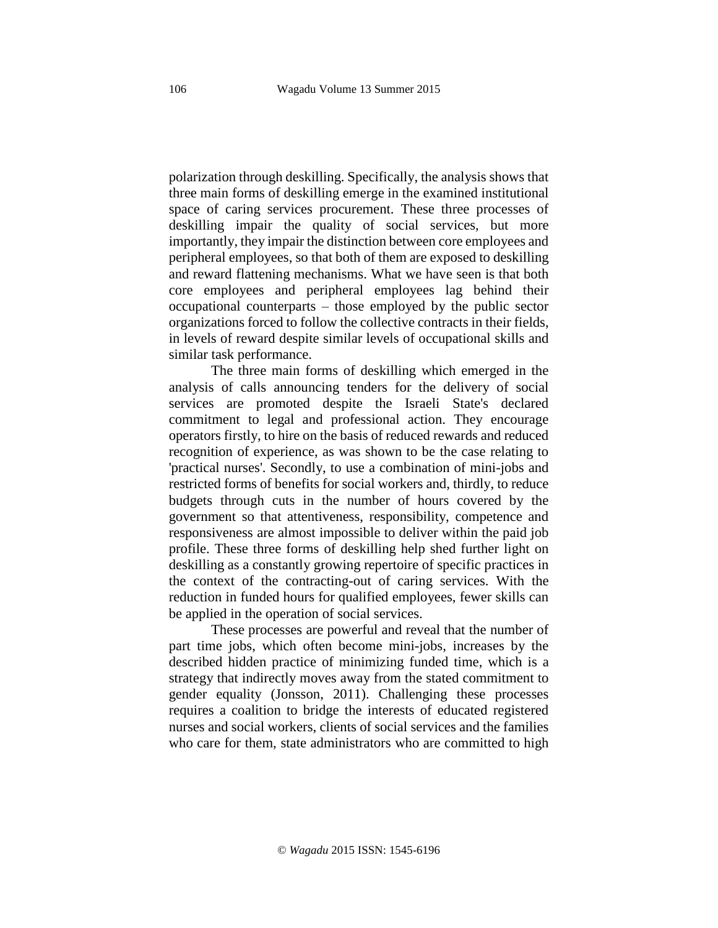polarization through deskilling. Specifically, the analysis shows that three main forms of deskilling emerge in the examined institutional space of caring services procurement. These three processes of deskilling impair the quality of social services, but more importantly, they impair the distinction between core employees and peripheral employees, so that both of them are exposed to deskilling and reward flattening mechanisms. What we have seen is that both core employees and peripheral employees lag behind their occupational counterparts – those employed by the public sector organizations forced to follow the collective contracts in their fields, in levels of reward despite similar levels of occupational skills and similar task performance.

The three main forms of deskilling which emerged in the analysis of calls announcing tenders for the delivery of social services are promoted despite the Israeli State's declared commitment to legal and professional action. They encourage operators firstly, to hire on the basis of reduced rewards and reduced recognition of experience, as was shown to be the case relating to 'practical nurses'. Secondly, to use a combination of mini-jobs and restricted forms of benefits for social workers and, thirdly, to reduce budgets through cuts in the number of hours covered by the government so that attentiveness, responsibility, competence and responsiveness are almost impossible to deliver within the paid job profile. These three forms of deskilling help shed further light on deskilling as a constantly growing repertoire of specific practices in the context of the contracting-out of caring services. With the reduction in funded hours for qualified employees, fewer skills can be applied in the operation of social services.

These processes are powerful and reveal that the number of part time jobs, which often become mini-jobs, increases by the described hidden practice of minimizing funded time, which is a strategy that indirectly moves away from the stated commitment to gender equality (Jonsson, 2011). Challenging these processes requires a coalition to bridge the interests of educated registered nurses and social workers, clients of social services and the families who care for them, state administrators who are committed to high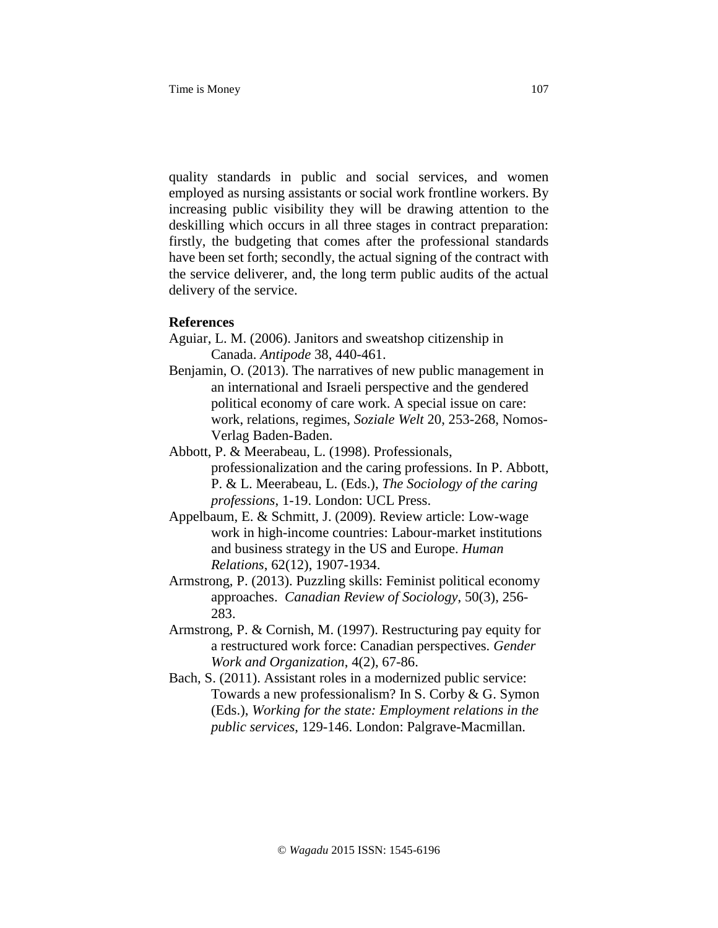quality standards in public and social services, and women employed as nursing assistants or social work frontline workers. By increasing public visibility they will be drawing attention to the deskilling which occurs in all three stages in contract preparation: firstly, the budgeting that comes after the professional standards have been set forth; secondly, the actual signing of the contract with the service deliverer, and, the long term public audits of the actual delivery of the service.

# **References**

- Aguiar, L. M. (2006). Janitors and sweatshop citizenship in Canada. *Antipode* 38, 440-461.
- Benjamin, O. (2013). The narratives of new public management in an international and Israeli perspective and the gendered political economy of care work. A special issue on care: work, relations, regimes, *Soziale Welt* 20, 253-268, Nomos-Verlag Baden-Baden.
- Abbott, P. & Meerabeau, L. (1998). Professionals, professionalization and the caring professions. In P. Abbott, P. & L. Meerabeau, L. (Eds.), *The Sociology of the caring professions*, 1-19. London: UCL Press.
- Appelbaum, E. & Schmitt, J. (2009). Review article: Low-wage work in high-income countries: Labour-market institutions and business strategy in the US and Europe. *Human Relations*, 62(12), 1907-1934.
- Armstrong, P. (2013). Puzzling skills: Feminist political economy approaches. *Canadian Review of Sociology*, 50(3), 256- 283.
- Armstrong, P. & Cornish, M. (1997). Restructuring pay equity for a restructured work force: Canadian perspectives. *Gender Work and Organization*, 4(2), 67-86.
- Bach, S. (2011). Assistant roles in a modernized public service: Towards a new professionalism? In S. Corby & G. Symon (Eds.), *Working for the state: Employment relations in the public services*, 129-146. London: Palgrave-Macmillan.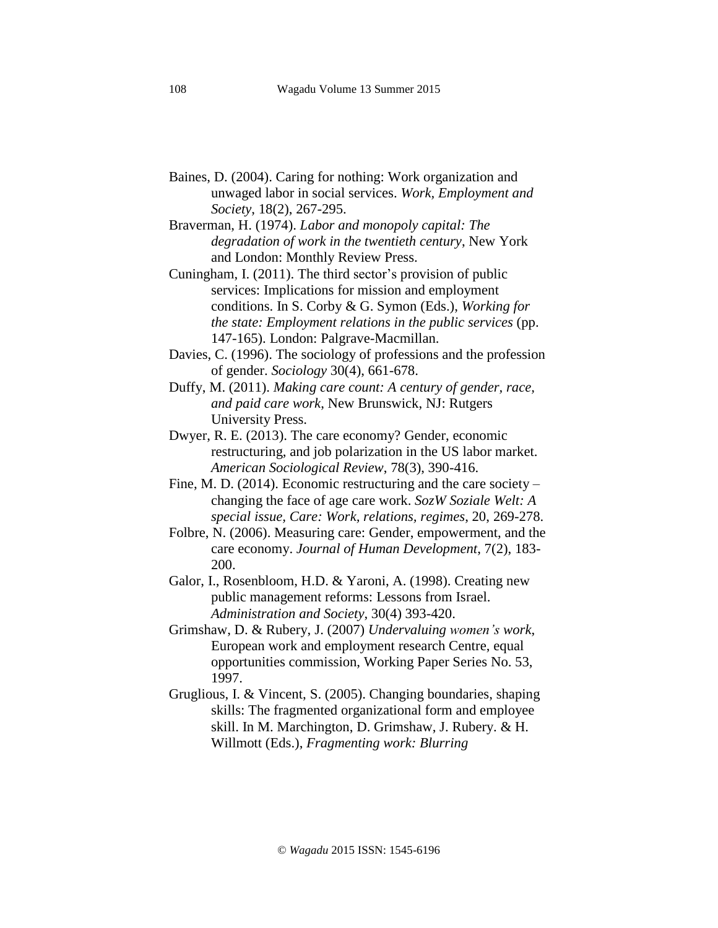- Baines, D. (2004). Caring for nothing: Work organization and unwaged labor in social services. *Work, Employment and Society*, 18(2), 267-295.
- Braverman, H. (1974). *Labor and monopoly capital: The degradation of work in the twentieth century*, New York and London: Monthly Review Press.
- Cuningham, I. (2011). The third sector's provision of public services: Implications for mission and employment conditions. In S. Corby & G. Symon (Eds.), *Working for the state: Employment relations in the public services* (pp. 147-165). London: Palgrave-Macmillan.
- Davies, C. (1996). The sociology of professions and the profession of gender. *Sociology* 30(4), 661-678.
- Duffy, M. (2011). *Making care count: A century of gender, race, and paid care work*, New Brunswick, NJ: Rutgers University Press.
- Dwyer, R. E. (2013). The care economy? Gender, economic restructuring, and job polarization in the US labor market. *American Sociological Review*, 78(3), 390-416.
- Fine, M. D. (2014). Economic restructuring and the care society changing the face of age care work. *SozW Soziale Welt: A special issue, Care: Work, relations, regimes*, 20, 269-278.
- Folbre, N. (2006). Measuring care: Gender, empowerment, and the care economy. *Journal of Human Development*, 7(2), 183- 200.
- Galor, I., Rosenbloom, H.D. & Yaroni, A. (1998). Creating new public management reforms: Lessons from Israel. *Administration and Society*, 30(4) 393-420.
- Grimshaw, D. & Rubery, J. (2007) *Undervaluing women's work*, European work and employment research Centre, equal opportunities commission, Working Paper Series No. 53, 1997.
- Gruglious, I. & Vincent, S. (2005). Changing boundaries, shaping skills: The fragmented organizational form and employee skill. In M. Marchington, D. Grimshaw, J. Rubery. & H. Willmott (Eds.), *Fragmenting work: Blurring*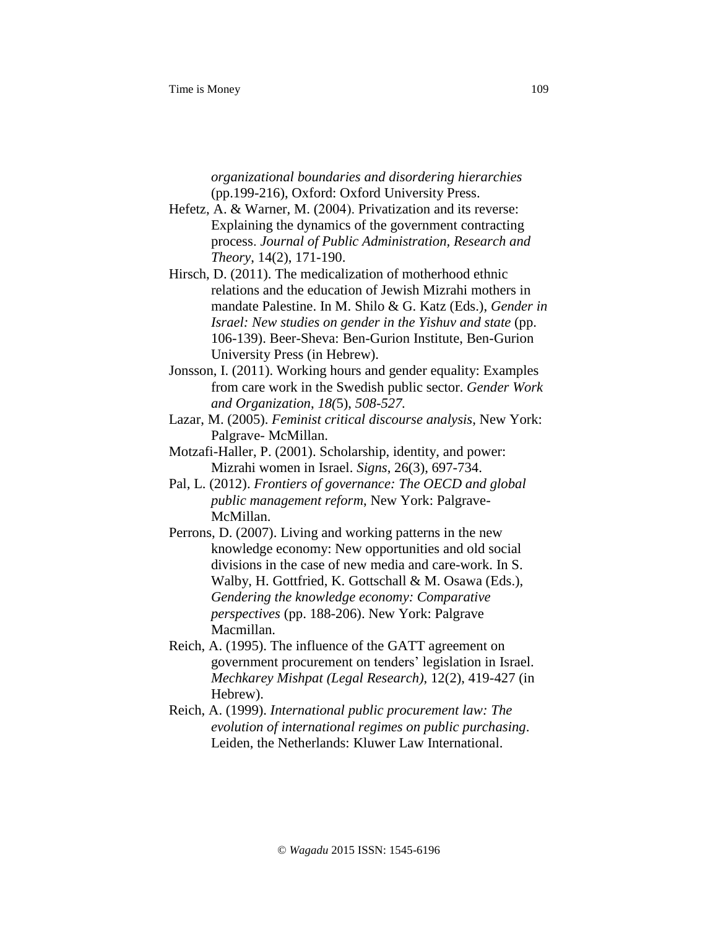*organizational boundaries and disordering hierarchies* (pp.199-216), Oxford: Oxford University Press.

- Hefetz, A. & Warner, M. (2004). Privatization and its reverse: Explaining the dynamics of the government contracting process. *Journal of Public Administration, Research and Theory*, 14(2), 171-190.
- Hirsch, D. (2011). The medicalization of motherhood ethnic relations and the education of Jewish Mizrahi mothers in mandate Palestine. In M. Shilo & G. Katz (Eds.), *Gender in Israel: New studies on gender in the Yishuv and state* (pp. 106-139). Beer-Sheva: Ben-Gurion Institute, Ben-Gurion University Press (in Hebrew).
- Jonsson, I. (2011). Working hours and gender equality: Examples from care work in the Swedish public sector. *Gender Work and Organization*, *18(*5), *508-527.*
- Lazar, M. (2005). *Feminist critical discourse analysis*, New York: Palgrave- McMillan.
- Motzafi-Haller, P. (2001). Scholarship, identity, and power: Mizrahi women in Israel. *Signs*, 26(3), 697-734.
- Pal, L. (2012). *Frontiers of governance: The OECD and global public management reform*, New York: Palgrave-McMillan.
- Perrons, D. (2007). Living and working patterns in the new knowledge economy: New opportunities and old social divisions in the case of new media and care-work. In S. Walby, H. Gottfried, K. Gottschall & M. Osawa (Eds.), *Gendering the knowledge economy: Comparative perspectives* (pp. 188-206). New York: Palgrave Macmillan.
- Reich, A. (1995). The influence of the GATT agreement on government procurement on tenders' legislation in Israel. *Mechkarey Mishpat (Legal Research)*, 12(2), 419-427 (in Hebrew).
- Reich, A. (1999). *International public procurement law: The evolution of international regimes on public purchasing*. Leiden, the Netherlands: Kluwer Law International.